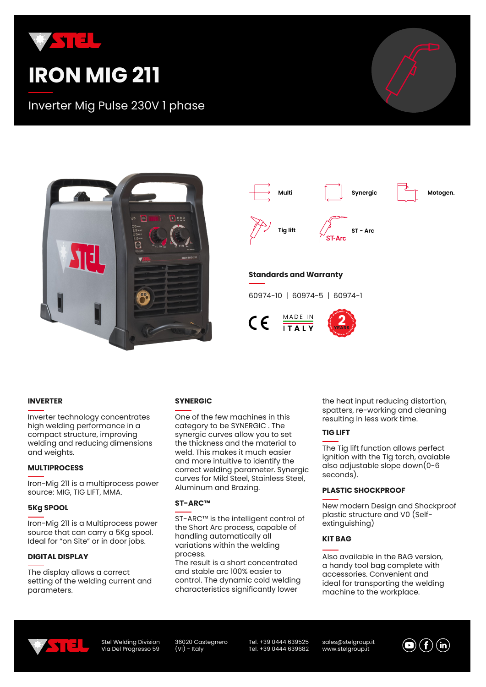

# **IRON MIG 211**

Inverter Mig Pulse 230V 1 phase





#### **INVERTER**

Inverter technology concentrates high welding performance in a compact structure, improving welding and reducing dimensions and weights.

#### **MULTIPROCESS**

Iron-Mig 211 is a multiprocess power source: MIG, TIG LIFT, MMA.

#### **5Kg SPOOL**

Iron-Mig 211 is a Multiprocess power source that can carry a 5Kg spool. Ideal for "on Site" or in door jobs.

#### **DIGITAL DISPLAY**

The display allows a correct setting of the welding current and parameters.

#### **SYNERGIC**

One of the few machines in this category to be SYNERGIC . The synergic curves allow you to set the thickness and the material to weld. This makes it much easier and more intuitive to identify the correct welding parameter. Synergic curves for Mild Steel, Stainless Steel, Aluminum and Brazing.

#### **ST-ARC™**

ST-ARC™ is the intelligent control of the Short Arc process, capable of handling automatically all variations within the welding process.

The result is a short concentrated and stable arc 100% easier to control. The dynamic cold welding characteristics significantly lower

the heat input reducing distortion, spatters, re-working and cleaning resulting in less work time.

#### **TIG LIFT**

The Tig lift function allows perfect ignition with the Tig torch, avaiable also adjustable slope down(0-6 seconds).

#### **PLASTIC SHOCKPROOF**

New modern Design and Shockproof plastic structure and V0 (Selfextinguishing)

#### **KIT BAG**

Also available in the BAG version, a handy tool bag complete with accessories. Convenient and ideal for transporting the welding machine to the workplace.



Stel Welding Division Via Del Progresso 59 36020 Castegnero  $(VI)$  - Italy

Tel. +39 0444 639525 Tel. +39 0444 639682 sales@stelgroup.it www.stelgroup.it

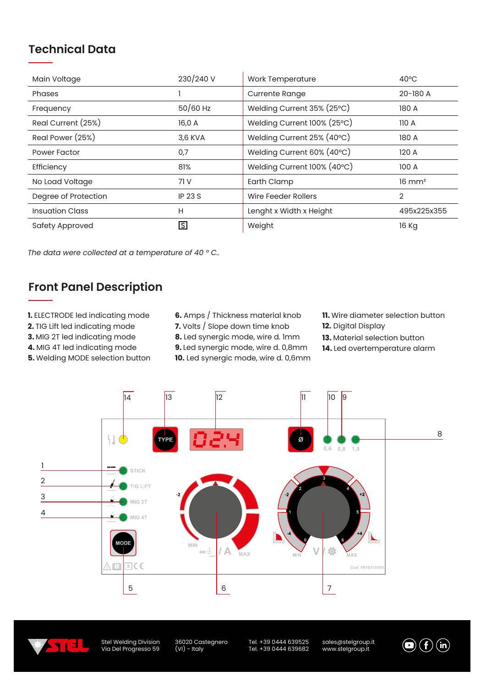## **Technical Data**

| Main Voltage           | 230/240 V      | Work Temperature            | $40^{\circ}$ C    |
|------------------------|----------------|-----------------------------|-------------------|
| Phases                 |                | <b>Currente Range</b>       | 20-180 A          |
| Frequency              | $50/60$ Hz     | Welding Current 35% (25°C)  | 180 A             |
| Real Current (25%)     | 16,0 A         | Welding Current 100% (25°C) | 110A              |
| Real Power (25%)       | 3,6 KVA        | Welding Current 25% (40°C)  | 180 A             |
| Power Factor           | 0,7            | Welding Current 60% (40°C)  | 120 A             |
| Efficiency             | 81%            | Welding Current 100% (40°C) | 100 A             |
| No Load Voltage        | 71 V           | Earth Clamp                 | $16 \text{ mm}^2$ |
| Degree of Protection   | <b>IP 23 S</b> | Wire Feeder Rollers         | 2                 |
| <b>Insuation Class</b> | Н              | Lenght x Width x Height     | 495x225x355       |
| Safety Approved        | ls             | Weight                      | 16 Kg             |

*The data were collected at a temperature of 40 ° C..*

## **Front Panel Description**

- **1.** ELECTRODE led indicating mode
- **2.** TIG Lift led indicating mode
- **3.** MIG 2T led indicating mode

**4.** MIG 4T led indicating mode

**5.** Welding MODE selection button

- **6.** Amps / Thickness material knob
- **7.** Volts / Slope down time knob
- **8.** Led synergic mode, wire d. 1mm

**9.** Led synergic mode, wire d. 0,8mm

**10.** Led synergic mode, wire d. 0,6mm

- **11.** Wire diameter selection button
- **12.** Digital Display
- **13.** Material selection button
- **14.** Led overtemperature alarm





Stel Welding Division Via Del Progresso 59 36020 Castegnero (VI) - Italy

Tel. +39 0444 639525 Tel. +39 0444 639682 sales@stelgroup.it www.stelgroup.it